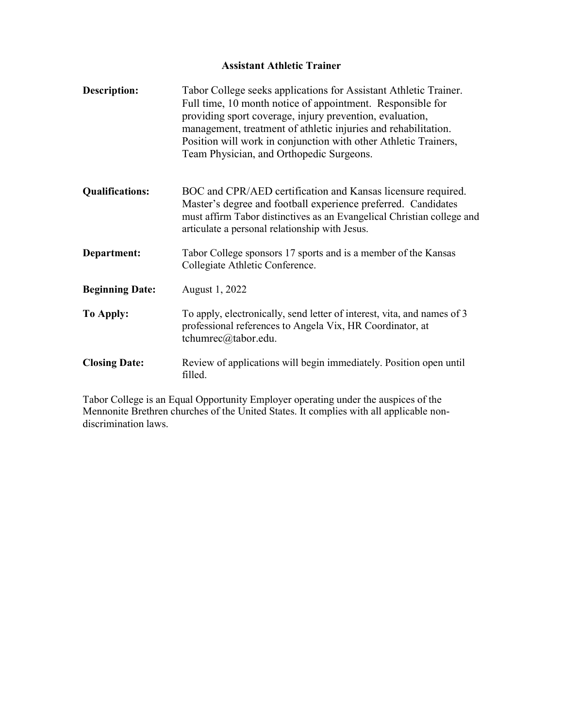## Assistant Athletic Trainer

| <b>Description:</b>    | Tabor College seeks applications for Assistant Athletic Trainer.<br>Full time, 10 month notice of appointment. Responsible for<br>providing sport coverage, injury prevention, evaluation,<br>management, treatment of athletic injuries and rehabilitation.<br>Position will work in conjunction with other Athletic Trainers,<br>Team Physician, and Orthopedic Surgeons. |
|------------------------|-----------------------------------------------------------------------------------------------------------------------------------------------------------------------------------------------------------------------------------------------------------------------------------------------------------------------------------------------------------------------------|
| <b>Qualifications:</b> | BOC and CPR/AED certification and Kansas licensure required.<br>Master's degree and football experience preferred. Candidates<br>must affirm Tabor distinctives as an Evangelical Christian college and<br>articulate a personal relationship with Jesus.                                                                                                                   |
| Department:            | Tabor College sponsors 17 sports and is a member of the Kansas<br>Collegiate Athletic Conference.                                                                                                                                                                                                                                                                           |
| <b>Beginning Date:</b> | August 1, 2022                                                                                                                                                                                                                                                                                                                                                              |
| To Apply:              | To apply, electronically, send letter of interest, vita, and names of 3<br>professional references to Angela Vix, HR Coordinator, at<br>tchumrec@tabor.edu.                                                                                                                                                                                                                 |
| <b>Closing Date:</b>   | Review of applications will begin immediately. Position open until<br>filled.                                                                                                                                                                                                                                                                                               |

Tabor College is an Equal Opportunity Employer operating under the auspices of the Mennonite Brethren churches of the United States. It complies with all applicable nondiscrimination laws.